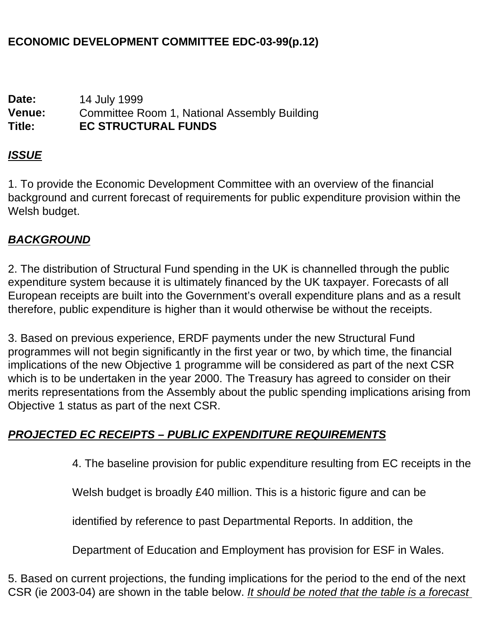### **ECONOMIC DEVELOPMENT COMMITTEE EDC-03-99(p.12)**

**Date:** 14 July 1999 **Venue:** Committee Room 1, National Assembly Building **Title: EC STRUCTURAL FUNDS**

#### *ISSUE*

1. To provide the Economic Development Committee with an overview of the financial background and current forecast of requirements for public expenditure provision within the Welsh budget.

#### *BACKGROUND*

2. The distribution of Structural Fund spending in the UK is channelled through the public expenditure system because it is ultimately financed by the UK taxpayer. Forecasts of all European receipts are built into the Government's overall expenditure plans and as a result therefore, public expenditure is higher than it would otherwise be without the receipts.

3. Based on previous experience, ERDF payments under the new Structural Fund programmes will not begin significantly in the first year or two, by which time, the financial implications of the new Objective 1 programme will be considered as part of the next CSR which is to be undertaken in the year 2000. The Treasury has agreed to consider on their merits representations from the Assembly about the public spending implications arising from Objective 1 status as part of the next CSR.

#### *PROJECTED EC RECEIPTS – PUBLIC EXPENDITURE REQUIREMENTS*

4. The baseline provision for public expenditure resulting from EC receipts in the

Welsh budget is broadly £40 million. This is a historic figure and can be

identified by reference to past Departmental Reports. In addition, the

Department of Education and Employment has provision for ESF in Wales.

5. Based on current projections, the funding implications for the period to the end of the next CSR (ie 2003-04) are shown in the table below. *It should be noted that the table is a forecast*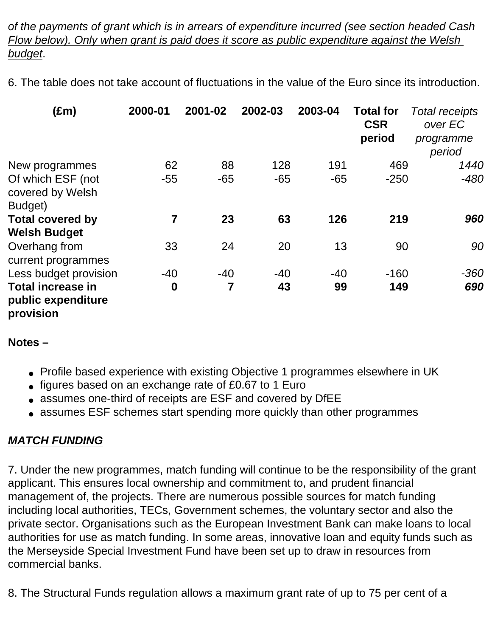*of the payments of grant which is in arrears of expenditure incurred (see section headed Cash Flow below). Only when grant is paid does it score as public expenditure against the Welsh budget*.

6. The table does not take account of fluctuations in the value of the Euro since its introduction.

| $(\text{Em})$                                               | 2000-01          | 2001-02 | 2002-03 | 2003-04 | <b>Total for</b><br><b>CSR</b><br>period | <b>Total receipts</b><br>over EC<br>programme<br>period |
|-------------------------------------------------------------|------------------|---------|---------|---------|------------------------------------------|---------------------------------------------------------|
| New programmes                                              | 62               | 88      | 128     | 191     | 469                                      | 1440                                                    |
| Of which ESF (not<br>covered by Welsh<br>Budget)            | $-55$            | $-65$   | $-65$   | $-65$   | $-250$                                   | $-480$                                                  |
| <b>Total covered by</b>                                     | 7                | 23      | 63      | 126     | 219                                      | 960                                                     |
| <b>Welsh Budget</b>                                         |                  |         |         |         |                                          |                                                         |
| Overhang from<br>current programmes                         | 33               | 24      | 20      | 13      | 90                                       | 90                                                      |
| Less budget provision                                       | $-40$            | $-40$   | $-40$   | $-40$   | $-160$                                   | $-360$                                                  |
| <b>Total increase in</b><br>public expenditure<br>provision | $\boldsymbol{0}$ | 7       | 43      | 99      | 149                                      | 690                                                     |

#### **Notes –**

- Profile based experience with existing Objective 1 programmes elsewhere in UK
- figures based on an exchange rate of £0.67 to 1 Euro
- assumes one-third of receipts are ESF and covered by DfEE
- assumes ESF schemes start spending more quickly than other programmes

# *MATCH FUNDING*

7. Under the new programmes, match funding will continue to be the responsibility of the grant applicant. This ensures local ownership and commitment to, and prudent financial management of, the projects. There are numerous possible sources for match funding including local authorities, TECs, Government schemes, the voluntary sector and also the private sector. Organisations such as the European Investment Bank can make loans to local authorities for use as match funding. In some areas, innovative loan and equity funds such as the Merseyside Special Investment Fund have been set up to draw in resources from commercial banks.

8. The Structural Funds regulation allows a maximum grant rate of up to 75 per cent of a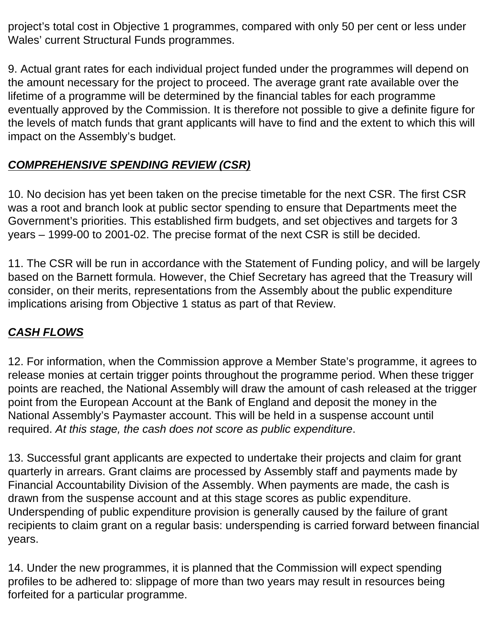project's total cost in Objective 1 programmes, compared with only 50 per cent or less under Wales' current Structural Funds programmes.

9. Actual grant rates for each individual project funded under the programmes will depend on the amount necessary for the project to proceed. The average grant rate available over the lifetime of a programme will be determined by the financial tables for each programme eventually approved by the Commission. It is therefore not possible to give a definite figure for the levels of match funds that grant applicants will have to find and the extent to which this will impact on the Assembly's budget.

# *COMPREHENSIVE SPENDING REVIEW (CSR)*

10. No decision has yet been taken on the precise timetable for the next CSR. The first CSR was a root and branch look at public sector spending to ensure that Departments meet the Government's priorities. This established firm budgets, and set objectives and targets for 3 years – 1999-00 to 2001-02. The precise format of the next CSR is still be decided.

11. The CSR will be run in accordance with the Statement of Funding policy, and will be largely based on the Barnett formula. However, the Chief Secretary has agreed that the Treasury will consider, on their merits, representations from the Assembly about the public expenditure implications arising from Objective 1 status as part of that Review.

# *CASH FLOWS*

12. For information, when the Commission approve a Member State's programme, it agrees to release monies at certain trigger points throughout the programme period. When these trigger points are reached, the National Assembly will draw the amount of cash released at the trigger point from the European Account at the Bank of England and deposit the money in the National Assembly's Paymaster account. This will be held in a suspense account until required. *At this stage, the cash does not score as public expenditure*.

13. Successful grant applicants are expected to undertake their projects and claim for grant quarterly in arrears. Grant claims are processed by Assembly staff and payments made by Financial Accountability Division of the Assembly. When payments are made, the cash is drawn from the suspense account and at this stage scores as public expenditure. Underspending of public expenditure provision is generally caused by the failure of grant recipients to claim grant on a regular basis: underspending is carried forward between financial years.

14. Under the new programmes, it is planned that the Commission will expect spending profiles to be adhered to: slippage of more than two years may result in resources being forfeited for a particular programme.